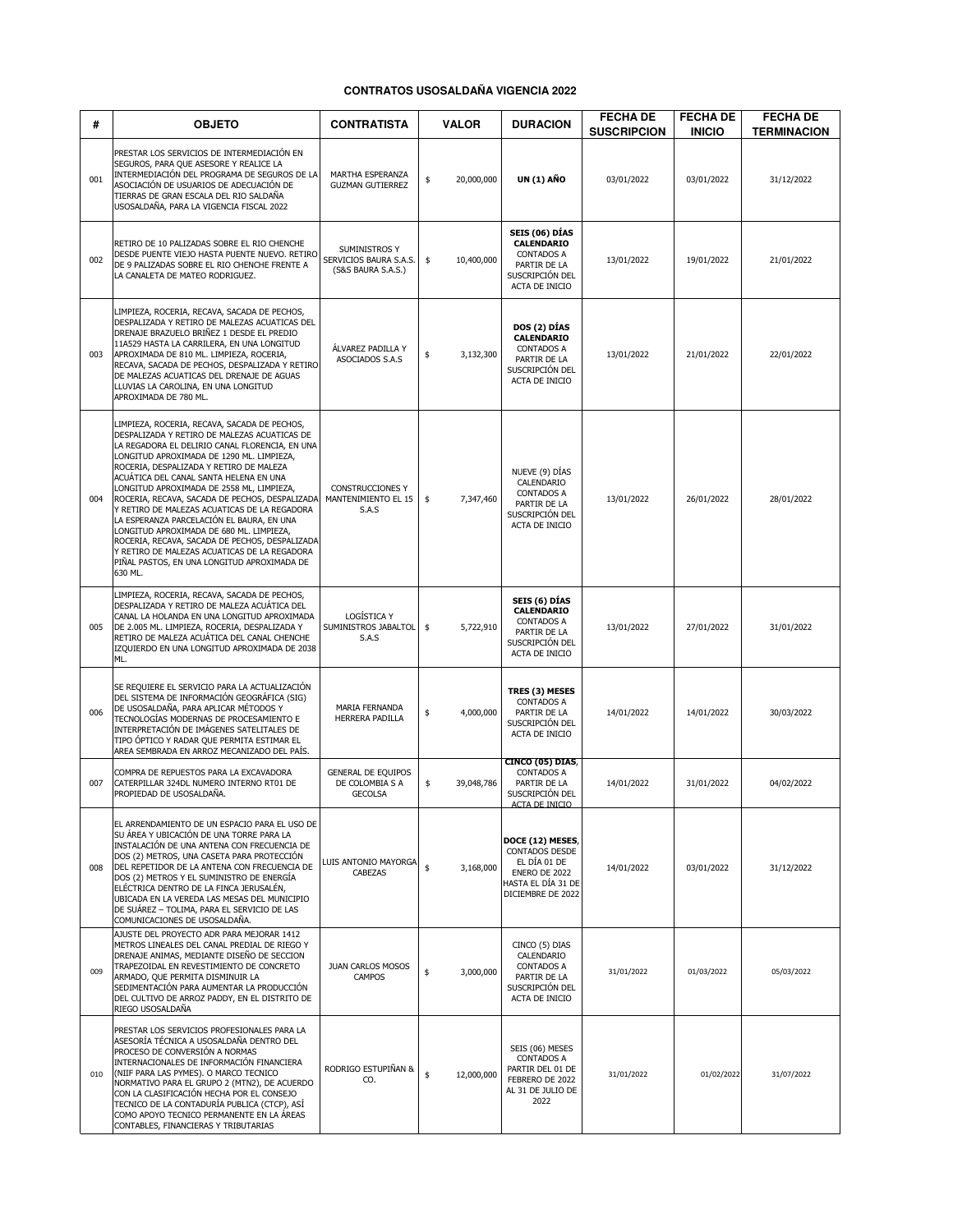| #   | <b>OBJETO</b>                                                                                                                                                                                                                                                                                                                                                                                                                                                                                                                                                                                                                                                                        | <b>CONTRATISTA</b>                                            | <b>VALOR</b>     | <b>DURACION</b>                                                                                                | <b>FECHA DE</b><br><b>SUSCRIPCION</b> | <b>FECHA DE</b><br><b>INICIO</b> | <b>FECHA DE</b><br><b>TERMINACION</b> |
|-----|--------------------------------------------------------------------------------------------------------------------------------------------------------------------------------------------------------------------------------------------------------------------------------------------------------------------------------------------------------------------------------------------------------------------------------------------------------------------------------------------------------------------------------------------------------------------------------------------------------------------------------------------------------------------------------------|---------------------------------------------------------------|------------------|----------------------------------------------------------------------------------------------------------------|---------------------------------------|----------------------------------|---------------------------------------|
| 001 | PRESTAR LOS SERVICIOS DE INTERMEDIACIÓN EN<br>SEGUROS, PARA QUE ASESORE Y REALICE LA<br>INTERMEDIACIÓN DEL PROGRAMA DE SEGUROS DE LA<br>ASOCIACIÓN DE USUARIOS DE ADECUACIÓN DE<br>TIERRAS DE GRAN ESCALA DEL RIO SALDAÑA<br>USOSALDAÑA, PARA LA VIGENCIA FISCAL 2022                                                                                                                                                                                                                                                                                                                                                                                                                | MARTHA ESPERANZA<br><b>GUZMAN GUTIERREZ</b>                   | \$<br>20,000,000 | <b>UN (1) AÑO</b>                                                                                              | 03/01/2022                            | 03/01/2022                       | 31/12/2022                            |
| 002 | RETIRO DE 10 PALIZADAS SOBRE EL RIO CHENCHE<br>DESDE PUENTE VIEJO HASTA PUENTE NUEVO. RETIRO<br>DE 9 PALIZADAS SOBRE EL RIO CHENCHE FRENTE A<br>LA CANALETA DE MATEO RODRIGUEZ.                                                                                                                                                                                                                                                                                                                                                                                                                                                                                                      | SUMINISTROS Y<br>SERVICIOS BAURA S.A.S.<br>(S&S BAURA S.A.S.) | \$<br>10,400,000 | SEIS (06) DÍAS<br>CALENDARIO<br><b>CONTADOS A</b><br>PARTIR DE LA<br>SUSCRIPCIÓN DEL<br>ACTA DE INICIO         | 13/01/2022                            | 19/01/2022                       | 21/01/2022                            |
| 003 | LIMPIEZA, ROCERIA, RECAVA, SACADA DE PECHOS,<br>DESPALIZADA Y RETIRO DE MALEZAS ACUATICAS DEL<br>DRENAJE BRAZUELO BRIÑEZ 1 DESDE EL PREDIO<br>11A529 HASTA LA CARRILERA, EN UNA LONGITUD<br>APROXIMADA DE 810 ML. LIMPIEZA, ROCERIA,<br>RECAVA, SACADA DE PECHOS, DESPALIZADA Y RETIRO<br>DE MALEZAS ACUATICAS DEL DRENAJE DE AGUAS<br>LLUVIAS LA CAROLINA, EN UNA LONGITUD<br>APROXIMADA DE 780 ML.                                                                                                                                                                                                                                                                                 | ÁLVAREZ PADILLA Y<br>ASOCIADOS S.A.S                          | \$<br>3,132,300  | DOS (2) DÍAS<br>CALENDARIO<br><b>CONTADOS A</b><br>PARTIR DE LA<br>SUSCRIPCIÓN DEL<br>ACTA DE INICIO           | 13/01/2022                            | 21/01/2022                       | 22/01/2022                            |
| 004 | LIMPIEZA, ROCERIA, RECAVA, SACADA DE PECHOS,<br>DESPALIZADA Y RETIRO DE MALEZAS ACUATICAS DE<br>LA REGADORA EL DELIRIO CANAL FLORENCIA, EN UNA<br>LONGITUD APROXIMADA DE 1290 ML. LIMPIEZA,<br>ROCERIA, DESPALIZADA Y RETIRO DE MALEZA<br>ACUÁTICA DEL CANAL SANTA HELENA EN UNA<br>LONGITUD APROXIMADA DE 2558 ML, LIMPIEZA,<br>ROCERIA, RECAVA, SACADA DE PECHOS, DESPALIZADA<br>Y RETIRO DE MALEZAS ACUATICAS DE LA REGADORA<br>LA ESPERANZA PARCELACIÓN EL BAURA, EN UNA<br>LONGITUD APROXIMADA DE 680 ML. LIMPIEZA,<br>ROCERIA, RECAVA, SACADA DE PECHOS, DESPALIZADA<br>Y RETIRO DE MALEZAS ACUATICAS DE LA REGADORA<br>PIÑAL PASTOS, EN UNA LONGITUD APROXIMADA DE<br>630 ML. | <b>CONSTRUCCIONES Y</b><br>MANTENIMIENTO EL 15<br>S.A.S       | \$<br>7,347,460  | NUEVE (9) DÍAS<br>CALENDARIO<br><b>CONTADOS A</b><br>PARTIR DE LA<br>SUSCRIPCIÓN DEL<br>ACTA DE INICIO         | 13/01/2022                            | 26/01/2022                       | 28/01/2022                            |
| 005 | LIMPIEZA, ROCERIA, RECAVA, SACADA DE PECHOS,<br>DESPALIZADA Y RETIRO DE MALEZA ACUÁTICA DEL<br>CANAL LA HOLANDA EN UNA LONGITUD APROXIMADA<br>DE 2.005 ML. LIMPIEZA, ROCERIA, DESPALIZADA Y<br>RETIRO DE MALEZA ACUÁTICA DEL CANAL CHENCHE<br>IZQUIERDO EN UNA LONGITUD APROXIMADA DE 2038<br>ML.                                                                                                                                                                                                                                                                                                                                                                                    | LOGÍSTICA Y<br>SUMINISTROS JABALTOL<br>S.A.S                  | \$<br>5,722,910  | SEIS (6) DÍAS<br>CALENDARIO<br><b>CONTADOS A</b><br>PARTIR DE LA<br>SUSCRIPCIÓN DEL<br>ACTA DE INICIO          | 13/01/2022                            | 27/01/2022                       | 31/01/2022                            |
| 006 | SE REQUIERE EL SERVICIO PARA LA ACTUALIZACIÓN<br>DEL SISTEMA DE INFORMACIÓN GEOGRÁFICA (SIG)<br>DE USOSALDAÑA, PARA APLICAR MÉTODOS Y<br>TECNOLOGÍAS MODERNAS DE PROCESAMIENTO E<br>INTERPRETACIÓN DE IMÁGENES SATELITALES DE<br>TIPO ÓPTICO Y RADAR QUE PERMITA ESTIMAR EL<br>AREA SEMBRADA EN ARROZ MECANIZADO DEL PAÍS.                                                                                                                                                                                                                                                                                                                                                           | MARIA FERNANDA<br><b>HERRERA PADILLA</b>                      | \$<br>4,000,000  | TRES (3) MESES<br><b>CONTADOS A</b><br>PARTIR DE LA<br>SUSCRIPCIÓN DEL<br>ACTA DE INICIO                       | 14/01/2022                            | 14/01/2022                       | 30/03/2022                            |
| 007 | COMPRA DE REPUESTOS PARA LA EXCAVADORA<br>CATERPILLAR 324DL NUMERO INTERNO RT01 DE<br>PROPIEDAD DE USOSALDAÑA.                                                                                                                                                                                                                                                                                                                                                                                                                                                                                                                                                                       | GENERAL DE EQUIPOS<br>DE COLOMBIA S A<br><b>GECOLSA</b>       | \$<br>39,048,786 | CINCO (05) DIAS,<br><b>CONTADOS A</b><br>PARTIR DE LA<br>SUSCRIPCIÓN DEL<br>ACTA DE INICIO                     | 14/01/2022                            | 31/01/2022                       | 04/02/2022                            |
| 008 | EL ARRENDAMIENTO DE UN ESPACIO PARA EL USO DE<br>SU ÁREA Y UBICACIÓN DE UNA TORRE PARA LA<br>INSTALACIÓN DE UNA ANTENA CON FRECUENCIA DE<br>DOS (2) METROS, UNA CASETA PARA PROTECCIÓN<br>DEL REPETIDOR DE LA ANTENA CON FRECUENCIA DE<br>DOS (2) METROS Y EL SUMINISTRO DE ENERGÍA<br>ELÉCTRICA DENTRO DE LA FINCA JERUSALÉN,<br>UBICADA EN LA VEREDA LAS MESAS DEL MUNICIPIO<br>DE SUÁREZ - TOLIMA, PARA EL SERVICIO DE LAS<br>COMUNICACIONES DE USOSALDAÑA.                                                                                                                                                                                                                       | LUIS ANTONIO MAYORGA<br><b>CABEZAS</b>                        | \$<br>3,168,000  | DOCE (12) MESES,<br>CONTADOS DESDE<br>EL DÍA 01 DE<br>ENERO DE 2022<br>HASTA EL DÍA 31 DE<br>DICIEMBRE DE 2022 | 14/01/2022                            | 03/01/2022                       | 31/12/2022                            |
| 009 | AJUSTE DEL PROYECTO ADR PARA MEJORAR 1412<br>METROS LINEALES DEL CANAL PREDIAL DE RIEGO Y<br>DRENAJE ANIMAS, MEDIANTE DISEÑO DE SECCION<br>TRAPEZOIDAL EN REVESTIMIENTO DE CONCRETO<br>ARMADO, OUE PERMITA DISMINUIR LA<br>SEDIMENTACIÓN PARA AUMENTAR LA PRODUCCIÓN<br>DEL CULTIVO DE ARROZ PADDY, EN EL DISTRITO DE<br>RIEGO USOSALDAÑA                                                                                                                                                                                                                                                                                                                                            | JUAN CARLOS MOSOS<br><b>CAMPOS</b>                            | \$<br>3,000,000  | CINCO (5) DIAS<br>CALENDARIO<br><b>CONTADOS A</b><br>PARTIR DE LA<br>SUSCRIPCIÓN DEL<br>ACTA DE INICIO         | 31/01/2022                            | 01/03/2022                       | 05/03/2022                            |
| 010 | PRESTAR LOS SERVICIOS PROFESIONALES PARA LA<br>ASESORÍA TÉCNICA A USOSALDAÑA DENTRO DEL<br>PROCESO DE CONVERSIÓN A NORMAS<br>INTERNACIONALES DE INFORMACIÓN FINANCIERA<br>(NIIF PARA LAS PYMES). O MARCO TECNICO<br>NORMATIVO PARA EL GRUPO 2 (MTN2), DE ACUERDO<br>CON LA CLASIFICACIÓN HECHA POR EL CONSEJO<br>TECNICO DE LA CONTADURÍA PUBLICA (CTCP), ASÍ<br>COMO APOYO TECNICO PERMANENTE EN LA ÁREAS<br>CONTABLES, FINANCIERAS Y TRIBUTARIAS                                                                                                                                                                                                                                   | RODRIGO ESTUPIÑAN &<br>CO.                                    | \$<br>12,000,000 | SEIS (06) MESES<br><b>CONTADOS A</b><br>PARTIR DEL 01 DE<br>FEBRERO DE 2022<br>AL 31 DE JULIO DE<br>2022       | 31/01/2022                            | 01/02/2022                       | 31/07/2022                            |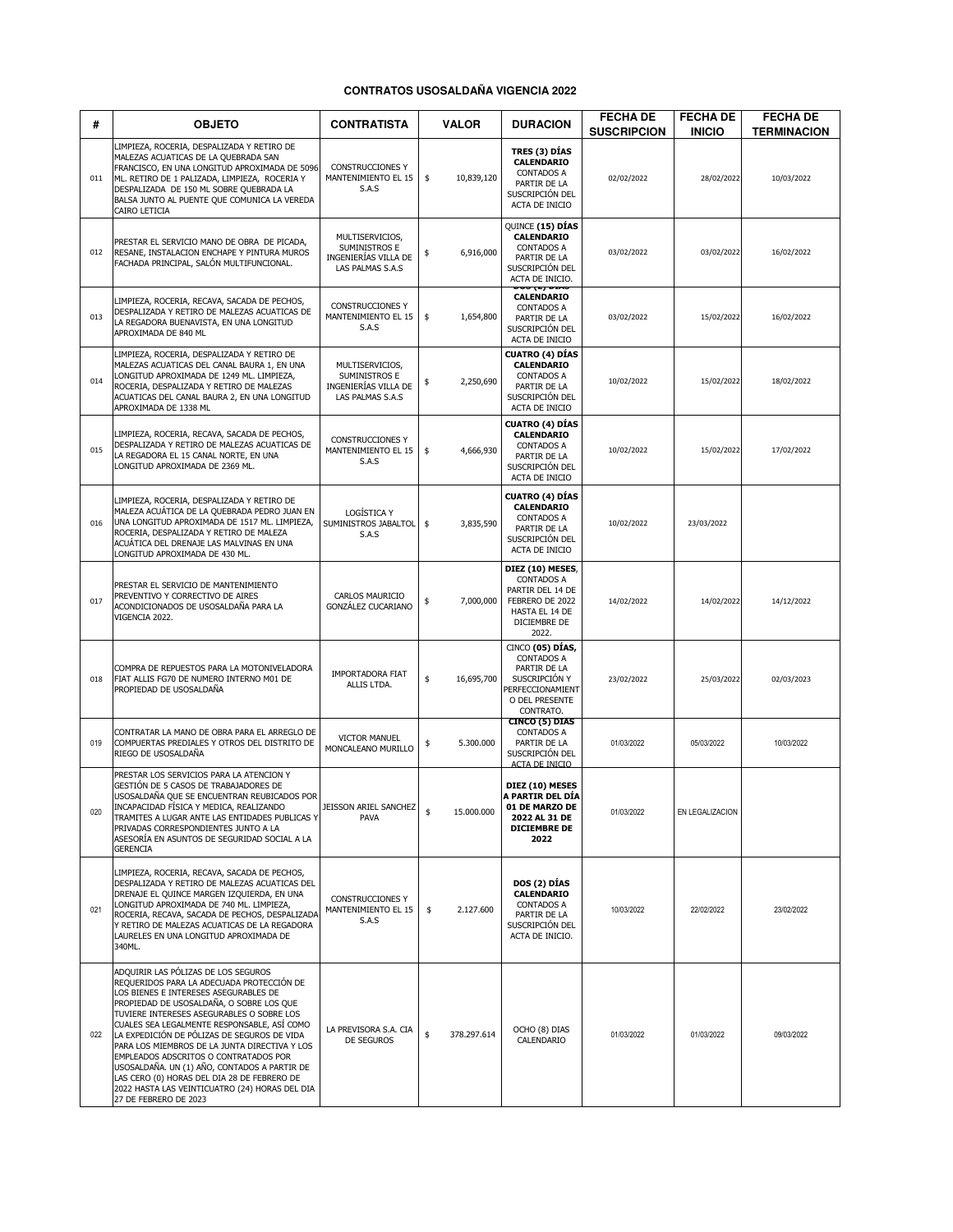| #   | <b>OBJETO</b>                                                                                                                                                                                                                                                                                                                                                                                                                                                                                                                                                                        | <b>CONTRATISTA</b>                                                           | <b>VALOR</b>      | <b>DURACION</b>                                                                                                            | <b>FECHA DE</b><br><b>SUSCRIPCION</b> | <b>FECHA DE</b><br><b>INICIO</b> | <b>FECHA DE</b><br><b>TERMINACION</b> |
|-----|--------------------------------------------------------------------------------------------------------------------------------------------------------------------------------------------------------------------------------------------------------------------------------------------------------------------------------------------------------------------------------------------------------------------------------------------------------------------------------------------------------------------------------------------------------------------------------------|------------------------------------------------------------------------------|-------------------|----------------------------------------------------------------------------------------------------------------------------|---------------------------------------|----------------------------------|---------------------------------------|
| 011 | LIMPIEZA, ROCERIA, DESPALIZADA Y RETIRO DE<br>MALEZAS ACUATICAS DE LA QUEBRADA SAN<br>FRANCISCO, EN UNA LONGITUD APROXIMADA DE 5096<br>ML. RETIRO DE 1 PALIZADA, LIMPIEZA, ROCERIA Y<br>DESPALIZADA DE 150 ML SOBRE QUEBRADA LA<br>BALSA JUNTO AL PUENTE QUE COMUNICA LA VEREDA<br>CAIRO LETICIA                                                                                                                                                                                                                                                                                     | CONSTRUCCIONES Y<br>MANTENIMIENTO EL 15<br>S.A.S                             | 10,839,120<br>\$  | TRES (3) DÍAS<br>CALENDARIO<br><b>CONTADOS A</b><br>PARTIR DE LA<br>SUSCRIPCIÓN DEL<br>ACTA DE INICIO                      | 02/02/2022                            | 28/02/2022                       | 10/03/2022                            |
| 012 | PRESTAR EL SERVICIO MANO DE OBRA DE PICADA,<br>RESANE, INSTALACION ENCHAPE Y PINTURA MUROS<br>FACHADA PRINCIPAL, SALÓN MULTIFUNCIONAL.                                                                                                                                                                                                                                                                                                                                                                                                                                               | MULTISERVICIOS,<br>SUMINISTROS E<br>INGENIERÍAS VILLA DE<br>LAS PALMAS S.A.S | 6,916,000<br>\$   | QUINCE (15) DÍAS<br>CALENDARIO<br><b>CONTADOS A</b><br>PARTIR DE LA<br>SUSCRIPCIÓN DEL<br>ACTA DE INICIO.<br>700 (a.) 021. | 03/02/2022                            | 03/02/2022                       | 16/02/2022                            |
| 013 | LIMPIEZA, ROCERIA, RECAVA, SACADA DE PECHOS,<br>DESPALIZADA Y RETIRO DE MALEZAS ACUATICAS DE<br>LA REGADORA BUENAVISTA, EN UNA LONGITUD<br>APROXIMADA DE 840 ML                                                                                                                                                                                                                                                                                                                                                                                                                      | CONSTRUCCIONES Y<br>MANTENIMIENTO EL 15<br>S.A.S                             | \$<br>1,654,800   | CALENDARIO<br><b>CONTADOS A</b><br>PARTIR DE LA<br>SUSCRIPCIÓN DEL<br>ACTA DE INICIO                                       | 03/02/2022                            | 15/02/2022                       | 16/02/2022                            |
| 014 | LIMPIEZA, ROCERIA, DESPALIZADA Y RETIRO DE<br>MALEZAS ACUATICAS DEL CANAL BAURA 1, EN UNA<br>LONGITUD APROXIMADA DE 1249 ML. LIMPIEZA,<br>ROCERIA, DESPALIZADA Y RETIRO DE MALEZAS<br>ACUATICAS DEL CANAL BAURA 2, EN UNA LONGITUD<br>APROXIMADA DE 1338 ML                                                                                                                                                                                                                                                                                                                          | MULTISERVICIOS,<br>SUMINISTROS E<br>INGENIERÍAS VILLA DE<br>LAS PALMAS S.A.S | 2,250,690<br>\$   | CUATRO (4) DÍAS<br>CALENDARIO<br><b>CONTADOS A</b><br>PARTIR DE LA<br>SUSCRIPCIÓN DEL<br>ACTA DE INICIO                    | 10/02/2022                            | 15/02/2022                       | 18/02/2022                            |
| 015 | LIMPIEZA, ROCERIA, RECAVA, SACADA DE PECHOS,<br>DESPALIZADA Y RETIRO DE MALEZAS ACUATICAS DE<br>LA REGADORA EL 15 CANAL NORTE, EN UNA<br>LONGITUD APROXIMADA DE 2369 ML.                                                                                                                                                                                                                                                                                                                                                                                                             | <b>CONSTRUCCIONES Y</b><br>MANTENIMIENTO EL 15<br>S.A.S                      | \$<br>4,666,930   | CUATRO (4) DÍAS<br><b>CALENDARIO</b><br><b>CONTADOS A</b><br>PARTIR DE LA<br>SUSCRIPCIÓN DEL<br>ACTA DE INICIO             | 10/02/2022                            | 15/02/2022                       | 17/02/2022                            |
| 016 | LIMPIEZA, ROCERIA, DESPALIZADA Y RETIRO DE<br>MALEZA ACUÁTICA DE LA QUEBRADA PEDRO JUAN EN<br>UNA LONGITUD APROXIMADA DE 1517 ML. LIMPIEZA,<br>ROCERIA, DESPALIZADA Y RETIRO DE MALEZA<br>ACUÁTICA DEL DRENAJE LAS MALVINAS EN UNA<br>LONGITUD APROXIMADA DE 430 ML.                                                                                                                                                                                                                                                                                                                 | LOGÍSTICA Y<br>SUMINISTROS JABALTOL<br>S.A.S                                 | \$<br>3,835,590   | <b>CUATRO (4) DÍAS</b><br>CALENDARIO<br><b>CONTADOS A</b><br>PARTIR DE LA<br>SUSCRIPCIÓN DEL<br>ACTA DE INICIO             | 10/02/2022                            | 23/03/2022                       |                                       |
| 017 | PRESTAR EL SERVICIO DE MANTENIMIENTO<br>PREVENTIVO Y CORRECTIVO DE AIRES<br>ACONDICIONADOS DE USOSALDAÑA PARA LA<br>VIGENCIA 2022.                                                                                                                                                                                                                                                                                                                                                                                                                                                   | CARLOS MAURICIO<br>GONZÁLEZ CUCARIANO                                        | \$<br>7,000,000   | DIEZ (10) MESES,<br><b>CONTADOS A</b><br>PARTIR DEL 14 DE<br>FEBRERO DE 2022<br>HASTA EL 14 DE<br>DICIEMBRE DE<br>2022.    | 14/02/2022                            | 14/02/2022                       | 14/12/2022                            |
| 018 | COMPRA DE REPUESTOS PARA LA MOTONIVELADORA<br>FIAT ALLIS FG70 DE NUMERO INTERNO M01 DE<br>PROPIEDAD DE USOSALDAÑA                                                                                                                                                                                                                                                                                                                                                                                                                                                                    | <b>IMPORTADORA FIAT</b><br>ALLIS LTDA.                                       | 16,695,700<br>\$  | CINCO (05) DÍAS,<br><b>CONTADOS A</b><br>PARTIR DE LA<br>SUSCRIPCIÓN Y<br>PERFECCIONAMIENT<br>O DEL PRESENTE<br>CONTRATO.  | 23/02/2022                            | 25/03/2022                       | 02/03/2023                            |
| 019 | CONTRATAR LA MANO DE OBRA PARA EL ARREGLO DE<br>COMPUERTAS PREDIALES Y OTROS DEL DISTRITO DE<br>RIEGO DE USOSALDAÑA                                                                                                                                                                                                                                                                                                                                                                                                                                                                  | <b>VICTOR MANUEL</b><br>MONCALEANO MURILLO                                   | 5.300.000<br>\$   | <b>CINCO (5) DIAS</b><br><b>CONTADOS A</b><br>PARTIR DE LA<br>SUSCRIPCIÓN DEL<br>ACTA DE INICIO                            | 01/03/2022                            | 05/03/2022                       | 10/03/2022                            |
| 020 | PRESTAR LOS SERVICIOS PARA LA ATENCION Y<br>GESTIÓN DE 5 CASOS DE TRABAJADORES DE<br>USOSALDAÑA QUE SE ENCUENTRAN REUBICADOS POR<br>INCAPACIDAD FÍSICA Y MEDICA, REALIZANDO<br>TRAMITES A LUGAR ANTE LAS ENTIDADES PUBLICAS Y<br>PRIVADAS CORRESPONDIENTES JUNTO A LA<br>ASESORÍA EN ASUNTOS DE SEGURIDAD SOCIAL A LA<br><b>GERENCIA</b>                                                                                                                                                                                                                                             | JEISSON ARIEL SANCHEZ<br>PAVA                                                | \$<br>15.000.000  | DIEZ (10) MESES<br>A PARTIR DEL DÍA<br>01 DE MARZO DE<br>2022 AL 31 DE<br><b>DICIEMBRE DE</b><br>2022                      | 01/03/2022                            | EN LEGALIZACION                  |                                       |
| 021 | LIMPIEZA, ROCERIA, RECAVA, SACADA DE PECHOS,<br>DESPALIZADA Y RETIRO DE MALEZAS ACUATICAS DEL<br>DRENAJE EL QUINCE MARGEN IZQUIERDA, EN UNA<br>LONGITUD APROXIMADA DE 740 ML. LIMPIEZA,<br>ROCERIA, RECAVA, SACADA DE PECHOS, DESPALIZADA<br>Y RETIRO DE MALEZAS ACUATICAS DE LA REGADORA<br>LAURELES EN UNA LONGITUD APROXIMADA DE<br>340ML.                                                                                                                                                                                                                                        | <b>CONSTRUCCIONES Y</b><br>MANTENIMIENTO EL 15<br>S.A.S                      | \$<br>2.127.600   | DOS (2) DÍAS<br>CALENDARIO<br><b>CONTADOS A</b><br>PARTIR DE LA<br>SUSCRIPCIÓN DEL<br>ACTA DE INICIO.                      | 10/03/2022                            | 22/02/2022                       | 23/02/2022                            |
| 022 | ADQUIRIR LAS PÓLIZAS DE LOS SEGUROS<br>REOUERIDOS PARA LA ADECUADA PROTECCIÓN DE<br>LOS BIENES E INTERESES ASEGURABLES DE<br>PROPIEDAD DE USOSALDAÑA, O SOBRE LOS QUE<br>TUVIERE INTERESES ASEGURABLES O SOBRE LOS<br>CUALES SEA LEGALMENTE RESPONSABLE, ASÍ COMO<br>LA EXPEDICIÓN DE PÓLIZAS DE SEGUROS DE VIDA<br>PARA LOS MIEMBROS DE LA JUNTA DIRECTIVA Y LOS<br>EMPLEADOS ADSCRITOS O CONTRATADOS POR<br>USOSALDAÑA. UN (1) AÑO, CONTADOS A PARTIR DE<br>LAS CERO (0) HORAS DEL DIA 28 DE FEBRERO DE<br>2022 HASTA LAS VEINTICUATRO (24) HORAS DEL DIA<br>27 DE FEBRERO DE 2023 | LA PREVISORA S.A. CIA<br>DE SEGUROS                                          | 378.297.614<br>\$ | OCHO (8) DIAS<br>CALENDARIO                                                                                                | 01/03/2022                            | 01/03/2022                       | 09/03/2022                            |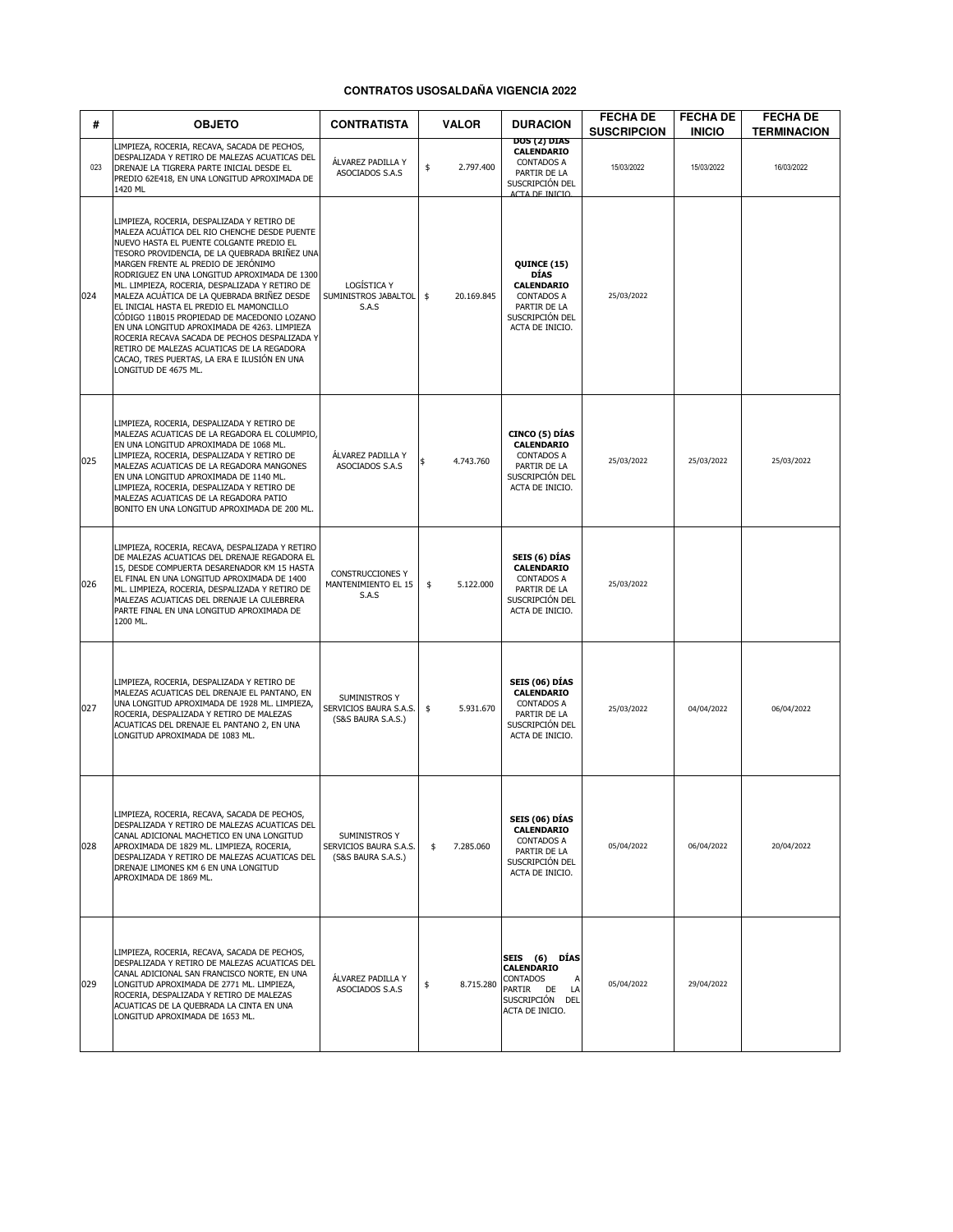| #   | <b>OBJETO</b>                                                                                                                                                                                                                                                                                                                                                                                                                                                                                                                                                                                                                                                                                     | <b>CONTRATISTA</b>                                            | <b>VALOR</b>     | <b>DURACION</b>                                                                                                     | <b>FECHA DE</b><br><b>SUSCRIPCION</b> | <b>FECHA DE</b><br><b>INICIO</b> | <b>FECHA DE</b><br><b>TERMINACION</b> |
|-----|---------------------------------------------------------------------------------------------------------------------------------------------------------------------------------------------------------------------------------------------------------------------------------------------------------------------------------------------------------------------------------------------------------------------------------------------------------------------------------------------------------------------------------------------------------------------------------------------------------------------------------------------------------------------------------------------------|---------------------------------------------------------------|------------------|---------------------------------------------------------------------------------------------------------------------|---------------------------------------|----------------------------------|---------------------------------------|
| 023 | LIMPIEZA, ROCERIA, RECAVA, SACADA DE PECHOS,<br>DESPALIZADA Y RETIRO DE MALEZAS ACUATICAS DEL<br>DRENAJE LA TIGRERA PARTE INICIAL DESDE EL<br>PREDIO 62E418, EN UNA LONGITUD APROXIMADA DE<br>1420 ML                                                                                                                                                                                                                                                                                                                                                                                                                                                                                             | ÁLVAREZ PADILLA Y<br>ASOCIADOS S.A.S                          | \$<br>2.797.400  | <b>DOS (2) DIAS</b><br><b>CALENDARIO</b><br><b>CONTADOS A</b><br>PARTIR DE LA<br>SUSCRIPCIÓN DEL<br>ACTA DE INICIO  | 15/03/2022                            | 15/03/2022                       | 16/03/2022                            |
| 024 | LIMPIEZA, ROCERIA, DESPALIZADA Y RETIRO DE<br>MALEZA ACUÁTICA DEL RIO CHENCHE DESDE PUENTE<br>NUEVO HASTA EL PUENTE COLGANTE PREDIO EL<br>TESORO PROVIDENCIA, DE LA QUEBRADA BRIÑEZ UNA<br>MARGEN FRENTE AL PREDIO DE JERÓNIMO<br>RODRIGUEZ EN UNA LONGITUD APROXIMADA DE 1300<br>ML. LIMPIEZA, ROCERIA, DESPALIZADA Y RETIRO DE<br>MALEZA ACUÁTICA DE LA QUEBRADA BRIÑEZ DESDE<br>EL INICIAL HASTA EL PREDIO EL MAMONCILLO<br>CÓDIGO 11B015 PROPIEDAD DE MACEDONIO LOZANO<br>EN UNA LONGITUD APROXIMADA DE 4263. LIMPIEZA<br>ROCERIA RECAVA SACADA DE PECHOS DESPALIZADA Y<br>RETIRO DE MALEZAS ACUATICAS DE LA REGADORA<br>CACAO, TRES PUERTAS, LA ERA E ILUSIÓN EN UNA<br>LONGITUD DE 4675 ML. | LOGÍSTICA Y<br>SUMINISTROS JABALTOL<br>S.A.S                  | \$<br>20.169.845 | QUINCE (15)<br><b>DÍAS</b><br>CALENDARIO<br><b>CONTADOS A</b><br>PARTIR DE LA<br>SUSCRIPCIÓN DEL<br>ACTA DE INICIO. | 25/03/2022                            |                                  |                                       |
| 025 | LIMPIEZA, ROCERIA, DESPALIZADA Y RETIRO DE<br>MALEZAS ACUATICAS DE LA REGADORA EL COLUMPIO,<br>EN UNA LONGITUD APROXIMADA DE 1068 ML.<br>LIMPIEZA, ROCERIA, DESPALIZADA Y RETIRO DE<br>MALEZAS ACUATICAS DE LA REGADORA MANGONES<br>EN UNA LONGITUD APROXIMADA DE 1140 ML.<br>LIMPIEZA, ROCERIA, DESPALIZADA Y RETIRO DE<br>MALEZAS ACUATICAS DE LA REGADORA PATIO<br>BONITO EN UNA LONGITUD APROXIMADA DE 200 ML.                                                                                                                                                                                                                                                                                | ÁLVAREZ PADILLA Y<br>ASOCIADOS S.A.S                          | 4.743.760        | CINCO (5) DÍAS<br><b>CALENDARIO</b><br><b>CONTADOS A</b><br>PARTIR DE LA<br>SUSCRIPCIÓN DEL<br>ACTA DE INICIO.      | 25/03/2022                            | 25/03/2022                       | 25/03/2022                            |
| 026 | LIMPIEZA, ROCERIA, RECAVA, DESPALIZADA Y RETIRO<br>DE MALEZAS ACUATICAS DEL DRENAJE REGADORA EL<br>15, DESDE COMPUERTA DESARENADOR KM 15 HASTA<br>EL FINAL EN UNA LONGITUD APROXIMADA DE 1400<br>ML. LIMPIEZA, ROCERIA, DESPALIZADA Y RETIRO DE<br>MALEZAS ACUATICAS DEL DRENAJE LA CULEBRERA<br>PARTE FINAL EN UNA LONGITUD APROXIMADA DE<br>1200 ML.                                                                                                                                                                                                                                                                                                                                            | <b>CONSTRUCCIONES Y</b><br>MANTENIMIENTO EL 15<br>S.A.S       | \$<br>5.122.000  | SEIS (6) DÍAS<br><b>CALENDARIO</b><br><b>CONTADOS A</b><br>PARTIR DE LA<br>SUSCRIPCIÓN DEL<br>ACTA DE INICIO.       | 25/03/2022                            |                                  |                                       |
| 027 | LIMPIEZA, ROCERIA, DESPALIZADA Y RETIRO DE<br>MALEZAS ACUATICAS DEL DRENAJE EL PANTANO, EN<br>UNA LONGITUD APROXIMADA DE 1928 ML. LIMPIEZA,<br>ROCERIA, DESPALIZADA Y RETIRO DE MALEZAS<br>ACUATICAS DEL DRENAJE EL PANTANO 2, EN UNA<br>LONGITUD APROXIMADA DE 1083 ML.                                                                                                                                                                                                                                                                                                                                                                                                                          | SUMINISTROS Y<br>SERVICIOS BAURA S.A.S.<br>(S&S BAURA S.A.S.) | \$<br>5.931.670  | SEIS (06) DÍAS<br>CALENDARIO<br><b>CONTADOS A</b><br>PARTIR DE LA<br>SUSCRIPCIÓN DEL<br>ACTA DE INICIO.             | 25/03/2022                            | 04/04/2022                       | 06/04/2022                            |
| 028 | LIMPIEZA, ROCERIA, RECAVA, SACADA DE PECHOS,<br>DESPALIZADA Y RETIRO DE MALEZAS ACUATICAS DEL<br>CANAL ADICIONAL MACHETICO EN UNA LONGITUD<br>APROXIMADA DE 1829 ML. LIMPIEZA, ROCERIA,<br>DESPALIZADA Y RETIRO DE MALEZAS ACUATICAS DEL<br>DRENAJE LIMONES KM 6 EN UNA LONGITUD<br>APROXIMADA DE 1869 ML.                                                                                                                                                                                                                                                                                                                                                                                        | SUMINISTROS Y<br>SERVICIOS BAURA S.A.S.<br>(S&S BAURA S.A.S.) | \$<br>7.285.060  | SEIS (06) DÍAS<br>CALENDARIO<br><b>CONTADOS A</b><br>PARTIR DE LA<br>Suscripción del<br>ACTA DE INICIO.             | 05/04/2022                            | 06/04/2022                       | 20/04/2022                            |
| 029 | LIMPIEZA, ROCERIA, RECAVA, SACADA DE PECHOS,<br>DESPALIZADA Y RETIRO DE MALEZAS ACUATICAS DEL<br>CANAL ADICIONAL SAN FRANCISCO NORTE, EN UNA<br>LONGITUD APROXIMADA DE 2771 ML. LIMPIEZA,<br>ROCERIA, DESPALIZADA Y RETIRO DE MALEZAS<br>ACUATICAS DE LA QUEBRADA LA CINTA EN UNA<br>LONGITUD APROXIMADA DE 1653 ML.                                                                                                                                                                                                                                                                                                                                                                              | ÁLVAREZ PADILLA Y<br>ASOCIADOS S.A.S                          | \$<br>8.715.280  | SEIS (6) DÍAS<br>CALENDARIO<br><b>CONTADOS</b><br>A<br>LA<br>PARTIR<br>DE<br>SUSCRIPCIÓN DEL<br>ACTA DE INICIO.     | 05/04/2022                            | 29/04/2022                       |                                       |